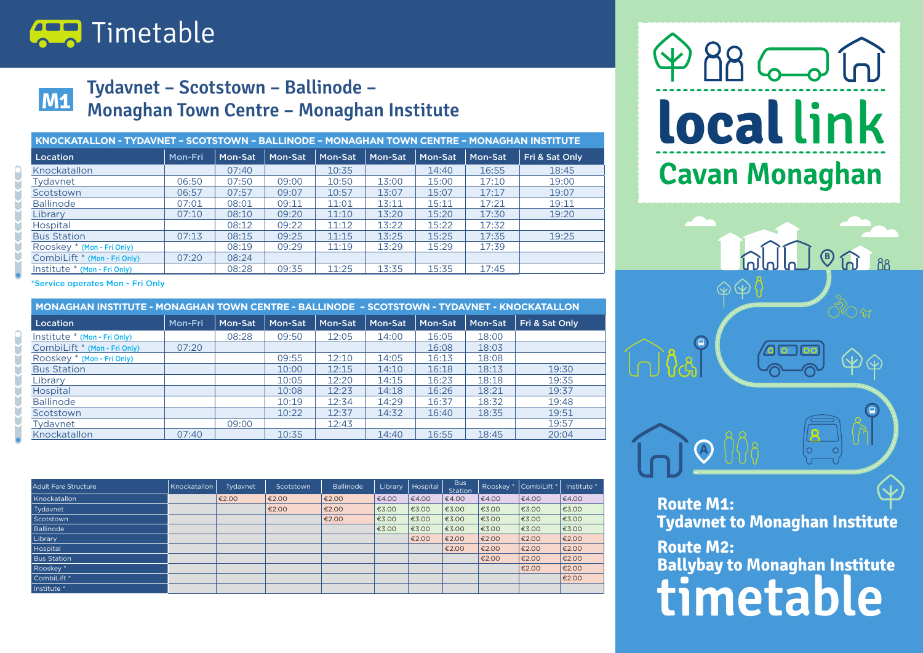

### **M1 M1**

#### **Tydavnet – Scotstown – Ballinode – Monaghan Town Centre – Monaghan Institute**

| KNOCKATALLON - TYDAVNET - SCOTSTOWN - BALLINODE - MONAGHAN TOWN CENTRE - MONAGHAN INSTITUTE |         |         |         |         |         |         |         |                |
|---------------------------------------------------------------------------------------------|---------|---------|---------|---------|---------|---------|---------|----------------|
| Location                                                                                    | Mon-Fri | Mon-Sat | Mon-Sat | Mon-Sat | Mon-Sat | Mon-Sat | Mon-Sat | Fri & Sat Only |
| Knockatallon                                                                                |         | 07:40   |         | 10:35   |         | 14:40   | 16:55   | 18:45          |
| Tydavnet                                                                                    | 06:50   | 07:50   | 09:00   | 10:50   | 13:00   | 15:00   | 17:10   | 19:00          |
| Scotstown                                                                                   | 06:57   | 07:57   | 09:07   | 10:57   | 13:07   | 15:07   | 17:17   | 19:07          |
| <b>Ballinode</b>                                                                            | 07:01   | 08:01   | 09:11   | 11:01   | 13:11   | 15:11   | 17:21   | 19:11          |
| Library                                                                                     | 07:10   | 08:10   | 09:20   | 11:10   | 13:20   | 15:20   | 17:30   | 19:20          |
| Hospital                                                                                    |         | 08:12   | 09:22   | 11:12   | 13:22   | 15:22   | 17:32   |                |
| <b>Bus Station</b>                                                                          | 07:13   | 08:15   | 09:25   | 11:15   | 13:25   | 15:25   | 17:35   | 19:25          |
| Rooskey * (Mon - Fri Only)                                                                  |         | 08:19   | 09:29   | 11:19   | 13:29   | 15:29   | 17:39   |                |
| CombiLift * (Mon - Fri Only)                                                                | 07:20   | 08:24   |         |         |         |         |         |                |
| Institute * (Mon - Fri Only)                                                                |         | 08:28   | 09:35   | 11:25   | 13:35   | 15:35   | 17:45   |                |

\*Service operates Mon - Fri Only

| MONAGHAN INSTITUTE - MONAGHAN TOWN CENTRE - BALLINODE - SCOTSTOWN - TYDAVNET - KNOCKATALLON |         |         |         |         |         |         |         |                |
|---------------------------------------------------------------------------------------------|---------|---------|---------|---------|---------|---------|---------|----------------|
| Location                                                                                    | Mon-Fri | Mon-Sat | Mon-Sat | Mon-Sat | Mon-Sat | Mon-Sat | Mon-Sat | Fri & Sat Only |
| Institute * (Mon - Fri Only)                                                                |         | 08:28   | 09:50   | 12:05   | 14:00   | 16:05   | 18:00   |                |
| CombiLift * (Mon - Fri Only)                                                                | 07:20   |         |         |         |         | 16:08   | 18:03   |                |
| Rooskey * (Mon - Fri Only)                                                                  |         |         | 09:55   | 12:10   | 14:05   | 16:13   | 18:08   |                |
| <b>Bus Station</b>                                                                          |         |         | 10:00   | 12:15   | 14:10   | 16:18   | 18:13   | 19:30          |
| Library                                                                                     |         |         | 10:05   | 12:20   | 14:15   | 16:23   | 18:18   | 19:35          |
| Hospital                                                                                    |         |         | 10:08   | 12:23   | 14:18   | 16:26   | 18:21   | 19:37          |
| <b>Ballinode</b>                                                                            |         |         | 10:19   | 12:34   | 14:29   | 16:37   | 18:32   | 19:48          |
| Scotstown                                                                                   |         |         | 10:22   | 12:37   | 14:32   | 16:40   | 18:35   | 19:51          |
| Tydavnet                                                                                    |         | 09:00   |         | 12:43   |         |         |         | 19:57          |
| Knockatallon                                                                                | 07:40   |         | 10:35   |         | 14:40   | 16:55   | 18:45   | 20:04          |

| <b>Adult Fare Structure</b> | Knockatallon | Tydavnet | Scotstown | <b>Ballinode</b> | Library | Hospital | <b>Bus</b><br><b>Station</b> | Rooskey <sup>*</sup> | CombiLift <sup>'</sup> | Institute * |
|-----------------------------|--------------|----------|-----------|------------------|---------|----------|------------------------------|----------------------|------------------------|-------------|
| Knockatallon                |              | €2.00    | €2.00     | €2.00            | €4.00   | €4.00    | €4.00                        | €4.00                | €4.00                  | €4.00       |
| Tydavnet                    |              |          | €2.00     | €2.00            | €3.00   | €3.00    | €3.00                        | €3.00                | €3.00                  | €3.00       |
| Scotstown                   |              |          |           | €2.00            | €3.00   | €3.00    | €3.00                        | €3.00                | €3.00                  | €3.00       |
| <b>Ballinode</b>            |              |          |           |                  | €3.00   | €3.00    | €3.00                        | €3.00                | €3.00                  | €3.00       |
| Library                     |              |          |           |                  |         | €2.00    | €2.00                        | €2.00                | €2.00                  | €2.00       |
| Hospital                    |              |          |           |                  |         |          | €2.00                        | €2.00                | €2.00                  | €2.00       |
| <b>Bus Station</b>          |              |          |           |                  |         |          |                              | €2.00                | €2.00                  | €2.00       |
| Rooskey <sup>*</sup>        |              |          |           |                  |         |          |                              |                      | €2.00                  | €2.00       |
| CombiLift <sup>*</sup>      |              |          |           |                  |         |          |                              |                      |                        | €2.00       |
| Institute <sup>*</sup>      |              |          |           |                  |         |          |                              |                      |                        |             |

# $98-6$ **local link Cavan Monaghan**



**Ballybay to Monaghan Institute**